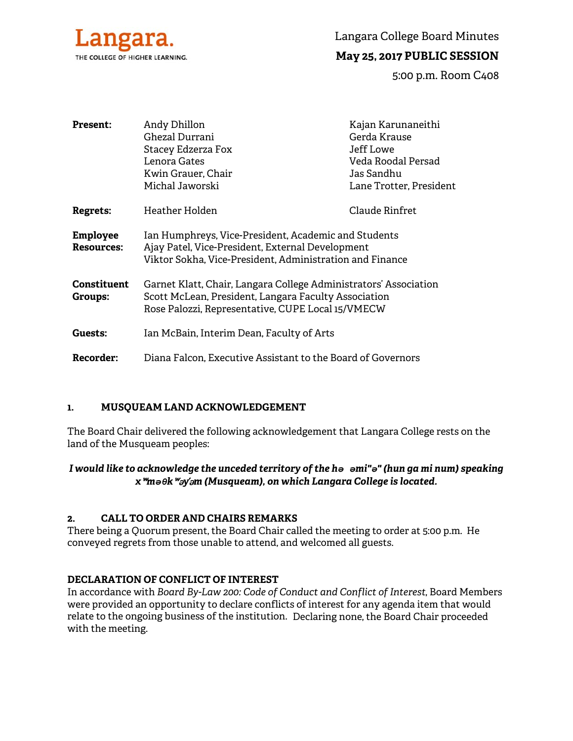

Langara College Board Minutes

# **May 25, 2017 PUBLIC SESSION**

5:00 p.m. Room C408

| <b>Present:</b>                      | Andy Dhillon                                                                                                                                                                  | Kajan Karunaneithi      |
|--------------------------------------|-------------------------------------------------------------------------------------------------------------------------------------------------------------------------------|-------------------------|
|                                      | Ghezal Durrani                                                                                                                                                                | Gerda Krause            |
|                                      | Stacey Edzerza Fox                                                                                                                                                            | Jeff Lowe               |
|                                      | Lenora Gates                                                                                                                                                                  | Veda Roodal Persad      |
|                                      | Kwin Grauer, Chair                                                                                                                                                            | Jas Sandhu              |
|                                      | Michal Jaworski                                                                                                                                                               | Lane Trotter, President |
| <b>Regrets:</b>                      | Heather Holden                                                                                                                                                                | Claude Rinfret          |
| <b>Employee</b><br><b>Resources:</b> | Ian Humphreys, Vice-President, Academic and Students<br>Ajay Patel, Vice-President, External Development<br>Viktor Sokha, Vice-President, Administration and Finance          |                         |
| Constituent<br>Groups:               | Garnet Klatt, Chair, Langara College Administrators' Association<br>Scott McLean, President, Langara Faculty Association<br>Rose Palozzi, Representative, CUPE Local 15/VMECW |                         |
| Guests:                              | Ian McBain, Interim Dean, Faculty of Arts                                                                                                                                     |                         |
| Recorder:                            | Diana Falcon, Executive Assistant to the Board of Governors                                                                                                                   |                         |

## **1. MUSQUEAM LAND ACKNOWLEDGEMENT**

The Board Chair delivered the following acknowledgement that Langara College rests on the land of the Musqueam peoples:

# *I would like to acknowledge the unceded territory of the hə əmi"ə" (hun ga mi num) speaking x*ʷ*məθk*ʷə*y*̓ə*m (Musqueam), on which Langara College is located.*

## **2. CALL TO ORDER AND CHAIRS REMARKS**

There being a Quorum present, the Board Chair called the meeting to order at 5:00 p.m. He conveyed regrets from those unable to attend, and welcomed all guests.

# **DECLARATION OF CONFLICT OF INTEREST**

In accordance with *Board By-Law 200: Code of Conduct and Conflict of Interest*, Board Members were provided an opportunity to declare conflicts of interest for any agenda item that would relate to the ongoing business of the institution. Declaring none, the Board Chair proceeded with the meeting.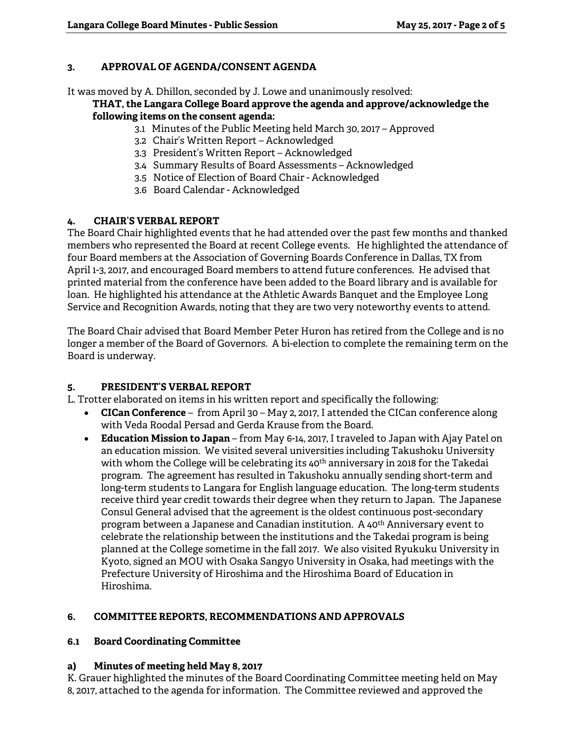## **3. APPROVAL OF AGENDA/CONSENT AGENDA**

It was moved by A. Dhillon, seconded by J. Lowe and unanimously resolved:

### **THAT, the Langara College Board approve the agenda and approve/acknowledge the following items on the consent agenda:**

- 3.1 Minutes of the Public Meeting held March 30, 2017 Approved
- 3.2 Chair's Written Report Acknowledged
- 3.3 President's Written Report Acknowledged
- 3.4 Summary Results of Board Assessments Acknowledged
- 3.5 Notice of Election of Board Chair Acknowledged
- 3.6 Board Calendar Acknowledged

# **4. CHAIR'S VERBAL REPORT**

The Board Chair highlighted events that he had attended over the past few months and thanked members who represented the Board at recent College events. He highlighted the attendance of four Board members at the Association of Governing Boards Conference in Dallas, TX from April 1-3, 2017, and encouraged Board members to attend future conferences. He advised that printed material from the conference have been added to the Board library and is available for loan. He highlighted his attendance at the Athletic Awards Banquet and the Employee Long Service and Recognition Awards, noting that they are two very noteworthy events to attend.

The Board Chair advised that Board Member Peter Huron has retired from the College and is no longer a member of the Board of Governors. A bi-election to complete the remaining term on the Board is underway.

# **5. PRESIDENT'S VERBAL REPORT**

L. Trotter elaborated on items in his written report and specifically the following:

- **CICan Conference** from April 30 May 2, 2017, I attended the CICan conference along with Veda Roodal Persad and Gerda Krause from the Board.
- **Education Mission to Japan**  from May 6-14, 2017, I traveled to Japan with Ajay Patel on an education mission. We visited several universities including Takushoku University with whom the College will be celebrating its 40<sup>th</sup> anniversary in 2018 for the Takedai program. The agreement has resulted in Takushoku annually sending short-term and long-term students to Langara for English language education. The long-term students receive third year credit towards their degree when they return to Japan. The Japanese Consul General advised that the agreement is the oldest continuous post-secondary program between a Japanese and Canadian institution. A 40th Anniversary event to celebrate the relationship between the institutions and the Takedai program is being planned at the College sometime in the fall 2017. We also visited Ryukuku University in Kyoto, signed an MOU with Osaka Sangyo University in Osaka, had meetings with the Prefecture University of Hiroshima and the Hiroshima Board of Education in Hiroshima.

# **6. COMMITTEE REPORTS, RECOMMENDATIONS AND APPROVALS**

# **6.1 Board Coordinating Committee**

# **a) Minutes of meeting held May 8, 2017**

K. Grauer highlighted the minutes of the Board Coordinating Committee meeting held on May 8, 2017, attached to the agenda for information. The Committee reviewed and approved the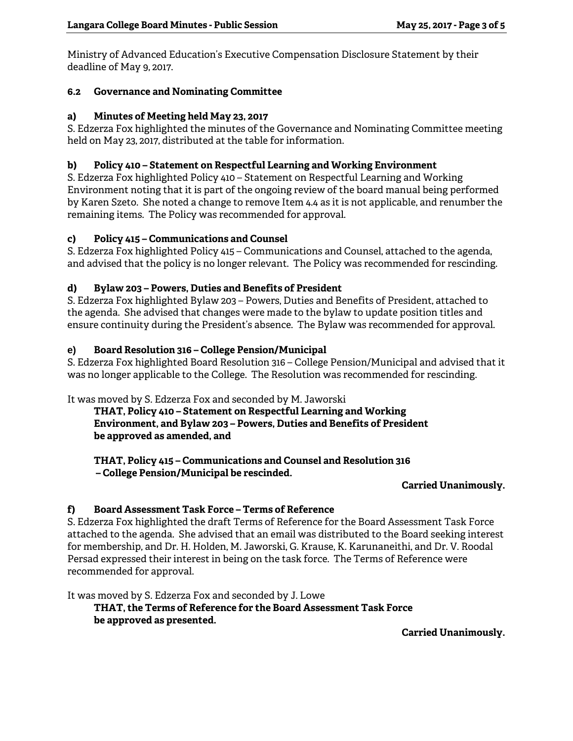Ministry of Advanced Education's Executive Compensation Disclosure Statement by their deadline of May 9, 2017.

## **6.2 Governance and Nominating Committee**

## **a) Minutes of Meeting held May 23, 2017**

S. Edzerza Fox highlighted the minutes of the Governance and Nominating Committee meeting held on May 23, 2017, distributed at the table for information.

### **b) Policy 410 – Statement on Respectful Learning and Working Environment**

S. Edzerza Fox highlighted Policy 410 – Statement on Respectful Learning and Working Environment noting that it is part of the ongoing review of the board manual being performed by Karen Szeto. She noted a change to remove Item 4.4 as it is not applicable, and renumber the remaining items. The Policy was recommended for approval.

### **c) Policy 415 – Communications and Counsel**

S. Edzerza Fox highlighted Policy 415 – Communications and Counsel, attached to the agenda, and advised that the policy is no longer relevant. The Policy was recommended for rescinding.

### **d) Bylaw 203 – Powers, Duties and Benefits of President**

S. Edzerza Fox highlighted Bylaw 203 – Powers, Duties and Benefits of President, attached to the agenda. She advised that changes were made to the bylaw to update position titles and ensure continuity during the President's absence. The Bylaw was recommended for approval.

### **e) Board Resolution 316 – College Pension/Municipal**

S. Edzerza Fox highlighted Board Resolution 316 – College Pension/Municipal and advised that it was no longer applicable to the College. The Resolution was recommended for rescinding.

It was moved by S. Edzerza Fox and seconded by M. Jaworski

**THAT, Policy 410 – Statement on Respectful Learning and Working Environment, and Bylaw 203 – Powers, Duties and Benefits of President be approved as amended, and** 

**THAT, Policy 415 – Communications and Counsel and Resolution 316 – College Pension/Municipal be rescinded.** 

#### **Carried Unanimously.**

## **f) Board Assessment Task Force – Terms of Reference**

S. Edzerza Fox highlighted the draft Terms of Reference for the Board Assessment Task Force attached to the agenda. She advised that an email was distributed to the Board seeking interest for membership, and Dr. H. Holden, M. Jaworski, G. Krause, K. Karunaneithi, and Dr. V. Roodal Persad expressed their interest in being on the task force. The Terms of Reference were recommended for approval.

It was moved by S. Edzerza Fox and seconded by J. Lowe

**THAT, the Terms of Reference for the Board Assessment Task Force be approved as presented.** 

**Carried Unanimously.**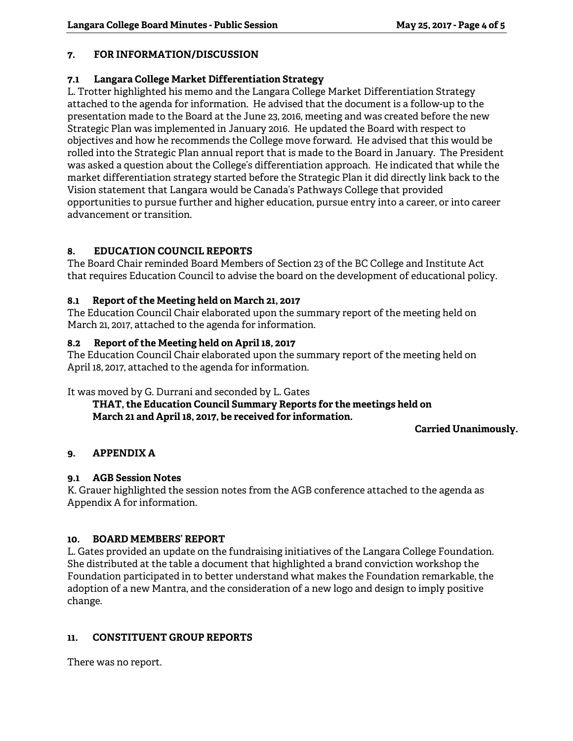## **7. FOR INFORMATION/DISCUSSION**

## **7.1 Langara College Market Differentiation Strategy**

L. Trotter highlighted his memo and the Langara College Market Differentiation Strategy attached to the agenda for information. He advised that the document is a follow-up to the presentation made to the Board at the June 23, 2016, meeting and was created before the new Strategic Plan was implemented in January 2016. He updated the Board with respect to objectives and how he recommends the College move forward. He advised that this would be rolled into the Strategic Plan annual report that is made to the Board in January. The President was asked a question about the College's differentiation approach. He indicated that while the market differentiation strategy started before the Strategic Plan it did directly link back to the Vision statement that Langara would be Canada's Pathways College that provided opportunities to pursue further and higher education, pursue entry into a career, or into career advancement or transition.

## **8. EDUCATION COUNCIL REPORTS**

The Board Chair reminded Board Members of Section 23 of the BC College and Institute Act that requires Education Council to advise the board on the development of educational policy.

## **8.1 Report of the Meeting held on March 21, 2017**

The Education Council Chair elaborated upon the summary report of the meeting held on March 21, 2017, attached to the agenda for information.

## **8.2 Report of the Meeting held on April 18, 2017**

The Education Council Chair elaborated upon the summary report of the meeting held on April 18, 2017, attached to the agenda for information.

It was moved by G. Durrani and seconded by L. Gates

## **THAT, the Education Council Summary Reports for the meetings held on March 21 and April 18, 2017, be received for information.**

**Carried Unanimously.** 

## **9. APPENDIX A**

## **9.1 AGB Session Notes**

K. Grauer highlighted the session notes from the AGB conference attached to the agenda as Appendix A for information.

## **10. BOARD MEMBERS' REPORT**

L. Gates provided an update on the fundraising initiatives of the Langara College Foundation. She distributed at the table a document that highlighted a brand conviction workshop the Foundation participated in to better understand what makes the Foundation remarkable, the adoption of a new Mantra, and the consideration of a new logo and design to imply positive change.

## **11. CONSTITUENT GROUP REPORTS**

There was no report.